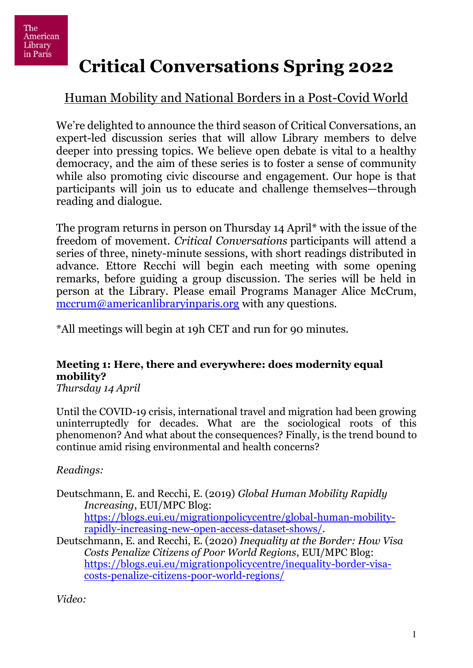# **Critical Conversations Spring 2022**

## Human Mobility and National Borders in a Post-Covid World

We're delighted to announce the third season of Critical Conversations, an expert-led discussion series that will allow Library members to delve deeper into pressing topics. We believe open debate is vital to a healthy democracy, and the aim of these series is to foster a sense of community while also promoting civic discourse and engagement. Our hope is that participants will join us to educate and challenge themselves—through reading and dialogue.

The program returns in person on Thursday 14 April\* with the issue of the freedom of movement. *Critical Conversations* participants will attend a series of three, ninety-minute sessions, with short readings distributed in advance. Ettore Recchi will begin each meeting with some opening remarks, before guiding a group discussion. The series will be held in person at the Library. Please email Programs Manager Alice McCrum, [mccrum@americanlibraryinparis.org](mailto:mccrum@americanlibraryinparis.org) with any questions.

\*All meetings will begin at 19h CET and run for 90 minutes.

## **Meeting 1: Here, there and everywhere: does modernity equal mobility?**

*Thursday 14 April* 

Until the COVID-19 crisis, international travel and migration had been growing uninterruptedly for decades. What are the sociological roots of this phenomenon? And what about the consequences? Finally, is the trend bound to continue amid rising environmental and health concerns?

*Readings:* 

Deutschmann, E. and Recchi, E. (2019) *Global Human Mobility Rapidly Increasing*, EUI/MPC Blog: [https://blogs.eui.eu/migrationpolicycentre/global-human-mobility](https://blogs.eui.eu/migrationpolicycentre/global-human-mobility-rapidly-increasing-new-open-access-dataset-shows/)[rapidly-increasing-new-open-access-dataset-shows/.](https://blogs.eui.eu/migrationpolicycentre/global-human-mobility-rapidly-increasing-new-open-access-dataset-shows/)

Deutschmann, E. and Recchi, E. (2020) *Inequality at the Border: How Visa Costs Penalize Citizens of Poor World Regions*, EUI/MPC Blog: [https://blogs.eui.eu/migrationpolicycentre/inequality-border-visa](https://blogs.eui.eu/migrationpolicycentre/inequality-border-visa-costs-penalize-citizens-poor-world-regions/)[costs-penalize-citizens-poor-world-regions/](https://blogs.eui.eu/migrationpolicycentre/inequality-border-visa-costs-penalize-citizens-poor-world-regions/) 

*Video:*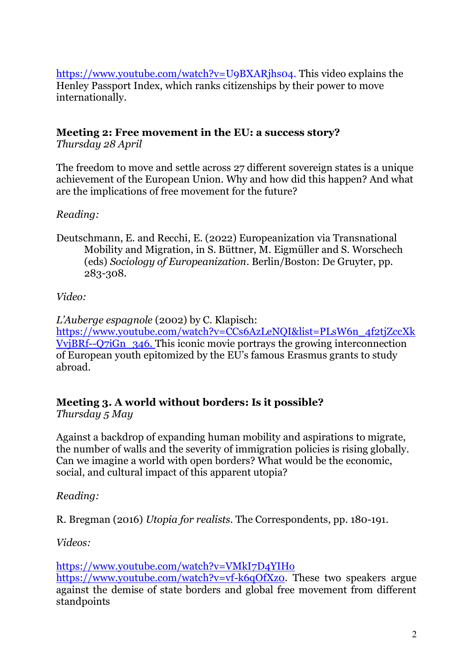[https://www.youtube.com/watch?v=U9BXARjhs04.](https://www.youtube.com/watch?v=U9BXARjhs04) This video explains the Henley Passport Index, which ranks citizenships by their power to move internationally.

#### **Meeting 2: Free movement in the EU: a success story?**

*Thursday 28 April* 

The freedom to move and settle across 27 different sovereign states is a unique achievement of the European Union. Why and how did this happen? And what are the implications of free movement for the future?

#### *Reading:*

Deutschmann, E. and Recchi, E. (2022) Europeanization via Transnational Mobility and Migration, in S. Büttner, M. Eigmüller and S. Worschech (eds) *Sociology of Europeanization*. Berlin/Boston: De Gruyter, pp. 283-308.

#### *Video:*

*L'Auberge espagnole* (2002) by C. Klapisch: [https://www.youtube.com/watch?v=CCs6AzLeNQI&list=PLsW6n\\_4f2tjZccXk](https://www.youtube.com/watch?v=CCs6AzLeNQI&list=PLsW6n_4f2tjZccXkVvjBRf--Q7iGn_346) [VvjBRf--Q7iGn\\_346.](https://www.youtube.com/watch?v=CCs6AzLeNQI&list=PLsW6n_4f2tjZccXkVvjBRf--Q7iGn_346) This iconic movie portrays the growing interconnection of European youth epitomized by the EU's famous Erasmus grants to study abroad.

#### **Meeting 3. A world without borders: Is it possible?**

*Thursday 5 May* 

Against a backdrop of expanding human mobility and aspirations to migrate, the number of walls and the severity of immigration policies is rising globally. Can we imagine a world with open borders? What would be the economic, social, and cultural impact of this apparent utopia?

*Reading:* 

R. Bregman (2016) *Utopia for realists*. The Correspondents, pp. 180-191.

*Videos:* 

<https://www.youtube.com/watch?v=VMkI7D4YIHo> [https://www.youtube.com/watch?v=vf-k6qOfXz0.](https://www.youtube.com/watch?v=vf-k6qOfXz0) These two speakers argue against the demise of state borders and global free movement from different standpoints